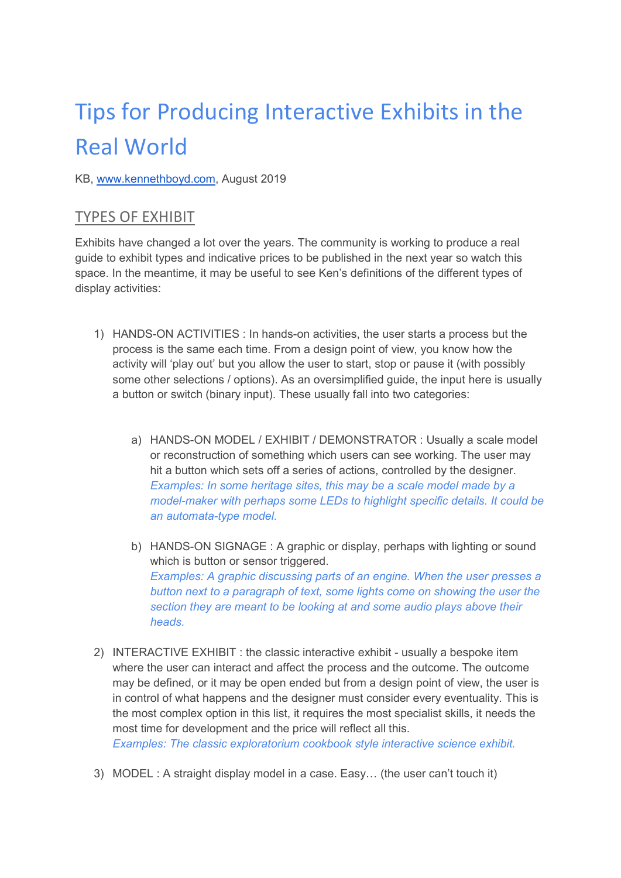# Tips for Producing Interactive Exhibits in the Real World

#### KB, www.kennethboyd.com, August 2019

#### TYPES OF EXHIBIT

Exhibits have changed a lot over the years. The community is working to produce a real guide to exhibit types and indicative prices to be published in the next year so watch this space. In the meantime, it may be useful to see Ken's definitions of the different types of display activities:

- 1) HANDS-ON ACTIVITIES : In hands-on activities, the user starts a process but the process is the same each time. From a design point of view, you know how the activity will 'play out' but you allow the user to start, stop or pause it (with possibly some other selections / options). As an oversimplified guide, the input here is usually a button or switch (binary input). These usually fall into two categories:
	- a) HANDS-ON MODEL / EXHIBIT / DEMONSTRATOR : Usually a scale model or reconstruction of something which users can see working. The user may hit a button which sets off a series of actions, controlled by the designer. Examples: In some heritage sites, this may be a scale model made by a model-maker with perhaps some LEDs to highlight specific details. It could be an automata-type model.
	- b) HANDS-ON SIGNAGE : A graphic or display, perhaps with lighting or sound which is button or sensor triggered. Examples: A graphic discussing parts of an engine. When the user presses a button next to a paragraph of text, some lights come on showing the user the section they are meant to be looking at and some audio plays above their heads.
- 2) INTERACTIVE EXHIBIT : the classic interactive exhibit usually a bespoke item where the user can interact and affect the process and the outcome. The outcome may be defined, or it may be open ended but from a design point of view, the user is in control of what happens and the designer must consider every eventuality. This is the most complex option in this list, it requires the most specialist skills, it needs the most time for development and the price will reflect all this. Examples: The classic exploratorium cookbook style interactive science exhibit.
- 3) MODEL : A straight display model in a case. Easy… (the user can't touch it)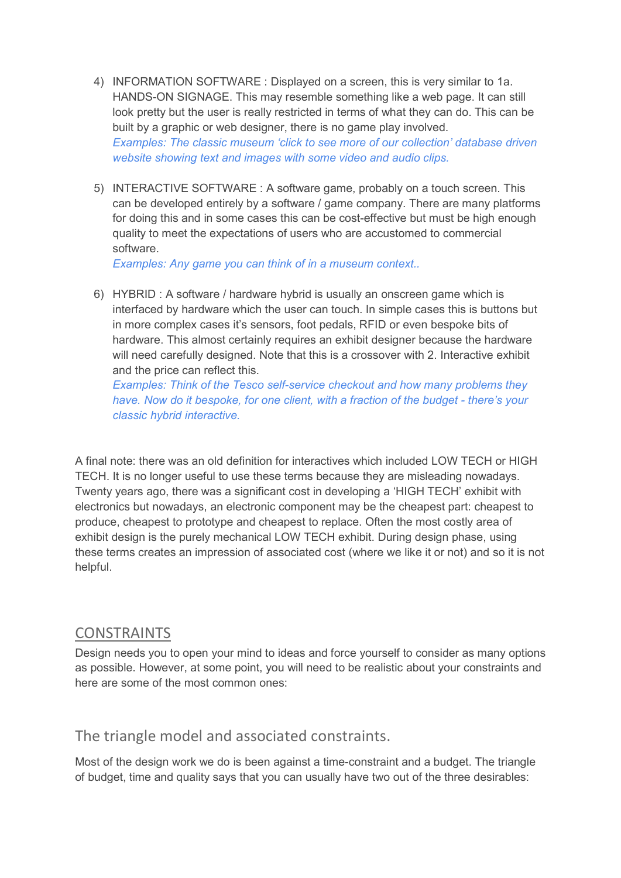- 4) INFORMATION SOFTWARE : Displayed on a screen, this is very similar to 1a. HANDS-ON SIGNAGE. This may resemble something like a web page. It can still look pretty but the user is really restricted in terms of what they can do. This can be built by a graphic or web designer, there is no game play involved. Examples: The classic museum 'click to see more of our collection' database driven website showing text and images with some video and audio clips.
- 5) INTERACTIVE SOFTWARE : A software game, probably on a touch screen. This can be developed entirely by a software / game company. There are many platforms for doing this and in some cases this can be cost-effective but must be high enough quality to meet the expectations of users who are accustomed to commercial software.

Examples: Any game you can think of in a museum context..

6) HYBRID : A software / hardware hybrid is usually an onscreen game which is interfaced by hardware which the user can touch. In simple cases this is buttons but in more complex cases it's sensors, foot pedals, RFID or even bespoke bits of hardware. This almost certainly requires an exhibit designer because the hardware will need carefully designed. Note that this is a crossover with 2. Interactive exhibit and the price can reflect this.

Examples: Think of the Tesco self-service checkout and how many problems they have. Now do it bespoke, for one client, with a fraction of the budget - there's your classic hybrid interactive.

A final note: there was an old definition for interactives which included LOW TECH or HIGH TECH. It is no longer useful to use these terms because they are misleading nowadays. Twenty years ago, there was a significant cost in developing a 'HIGH TECH' exhibit with electronics but nowadays, an electronic component may be the cheapest part: cheapest to produce, cheapest to prototype and cheapest to replace. Often the most costly area of exhibit design is the purely mechanical LOW TECH exhibit. During design phase, using these terms creates an impression of associated cost (where we like it or not) and so it is not helpful.

#### CONSTRAINTS

Design needs you to open your mind to ideas and force yourself to consider as many options as possible. However, at some point, you will need to be realistic about your constraints and here are some of the most common ones:

### The triangle model and associated constraints.

Most of the design work we do is been against a time-constraint and a budget. The triangle of budget, time and quality says that you can usually have two out of the three desirables: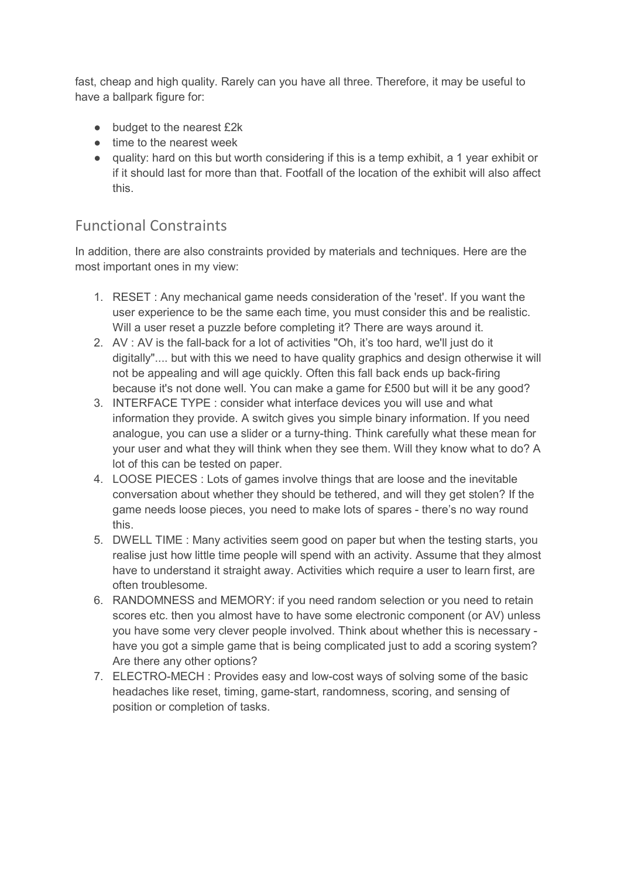fast, cheap and high quality. Rarely can you have all three. Therefore, it may be useful to have a ballpark figure for:

- budget to the nearest £2k
- time to the nearest week
- quality: hard on this but worth considering if this is a temp exhibit, a 1 year exhibit or if it should last for more than that. Footfall of the location of the exhibit will also affect this.

# Functional Constraints

In addition, there are also constraints provided by materials and techniques. Here are the most important ones in my view:

- 1. RESET : Any mechanical game needs consideration of the 'reset'. If you want the user experience to be the same each time, you must consider this and be realistic. Will a user reset a puzzle before completing it? There are ways around it.
- 2. AV : AV is the fall-back for a lot of activities "Oh, it's too hard, we'll just do it digitally".... but with this we need to have quality graphics and design otherwise it will not be appealing and will age quickly. Often this fall back ends up back-firing because it's not done well. You can make a game for £500 but will it be any good?
- 3. INTERFACE TYPE : consider what interface devices you will use and what information they provide. A switch gives you simple binary information. If you need analogue, you can use a slider or a turny-thing. Think carefully what these mean for your user and what they will think when they see them. Will they know what to do? A lot of this can be tested on paper.
- 4. LOOSE PIECES : Lots of games involve things that are loose and the inevitable conversation about whether they should be tethered, and will they get stolen? If the game needs loose pieces, you need to make lots of spares - there's no way round this.
- 5. DWELL TIME : Many activities seem good on paper but when the testing starts, you realise just how little time people will spend with an activity. Assume that they almost have to understand it straight away. Activities which require a user to learn first, are often troublesome.
- 6. RANDOMNESS and MEMORY: if you need random selection or you need to retain scores etc. then you almost have to have some electronic component (or AV) unless you have some very clever people involved. Think about whether this is necessary have you got a simple game that is being complicated just to add a scoring system? Are there any other options?
- 7. ELECTRO-MECH : Provides easy and low-cost ways of solving some of the basic headaches like reset, timing, game-start, randomness, scoring, and sensing of position or completion of tasks.